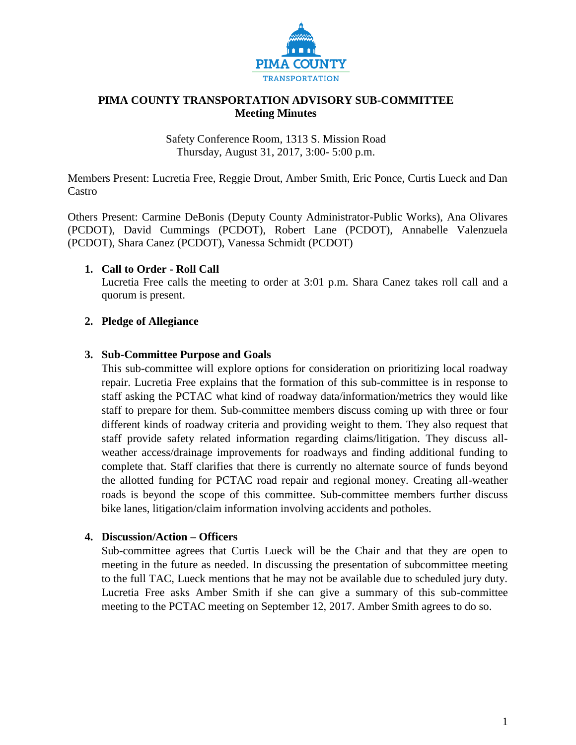

#### **PIMA COUNTY TRANSPORTATION ADVISORY SUB-COMMITTEE Meeting Minutes**

Safety Conference Room, 1313 S. Mission Road Thursday, August 31, 2017, 3:00- 5:00 p.m.

Members Present: Lucretia Free, Reggie Drout, Amber Smith, Eric Ponce, Curtis Lueck and Dan Castro

Others Present: Carmine DeBonis (Deputy County Administrator-Public Works), Ana Olivares (PCDOT), David Cummings (PCDOT), Robert Lane (PCDOT), Annabelle Valenzuela (PCDOT), Shara Canez (PCDOT), Vanessa Schmidt (PCDOT)

#### **1. Call to Order - Roll Call**

Lucretia Free calls the meeting to order at 3:01 p.m. Shara Canez takes roll call and a quorum is present.

## **2. Pledge of Allegiance**

#### **3. Sub-Committee Purpose and Goals**

This sub-committee will explore options for consideration on prioritizing local roadway repair. Lucretia Free explains that the formation of this sub-committee is in response to staff asking the PCTAC what kind of roadway data/information/metrics they would like staff to prepare for them. Sub-committee members discuss coming up with three or four different kinds of roadway criteria and providing weight to them. They also request that staff provide safety related information regarding claims/litigation. They discuss allweather access/drainage improvements for roadways and finding additional funding to complete that. Staff clarifies that there is currently no alternate source of funds beyond the allotted funding for PCTAC road repair and regional money. Creating all-weather roads is beyond the scope of this committee. Sub-committee members further discuss bike lanes, litigation/claim information involving accidents and potholes.

#### **4. Discussion/Action – Officers**

Sub-committee agrees that Curtis Lueck will be the Chair and that they are open to meeting in the future as needed. In discussing the presentation of subcommittee meeting to the full TAC, Lueck mentions that he may not be available due to scheduled jury duty. Lucretia Free asks Amber Smith if she can give a summary of this sub-committee meeting to the PCTAC meeting on September 12, 2017. Amber Smith agrees to do so.